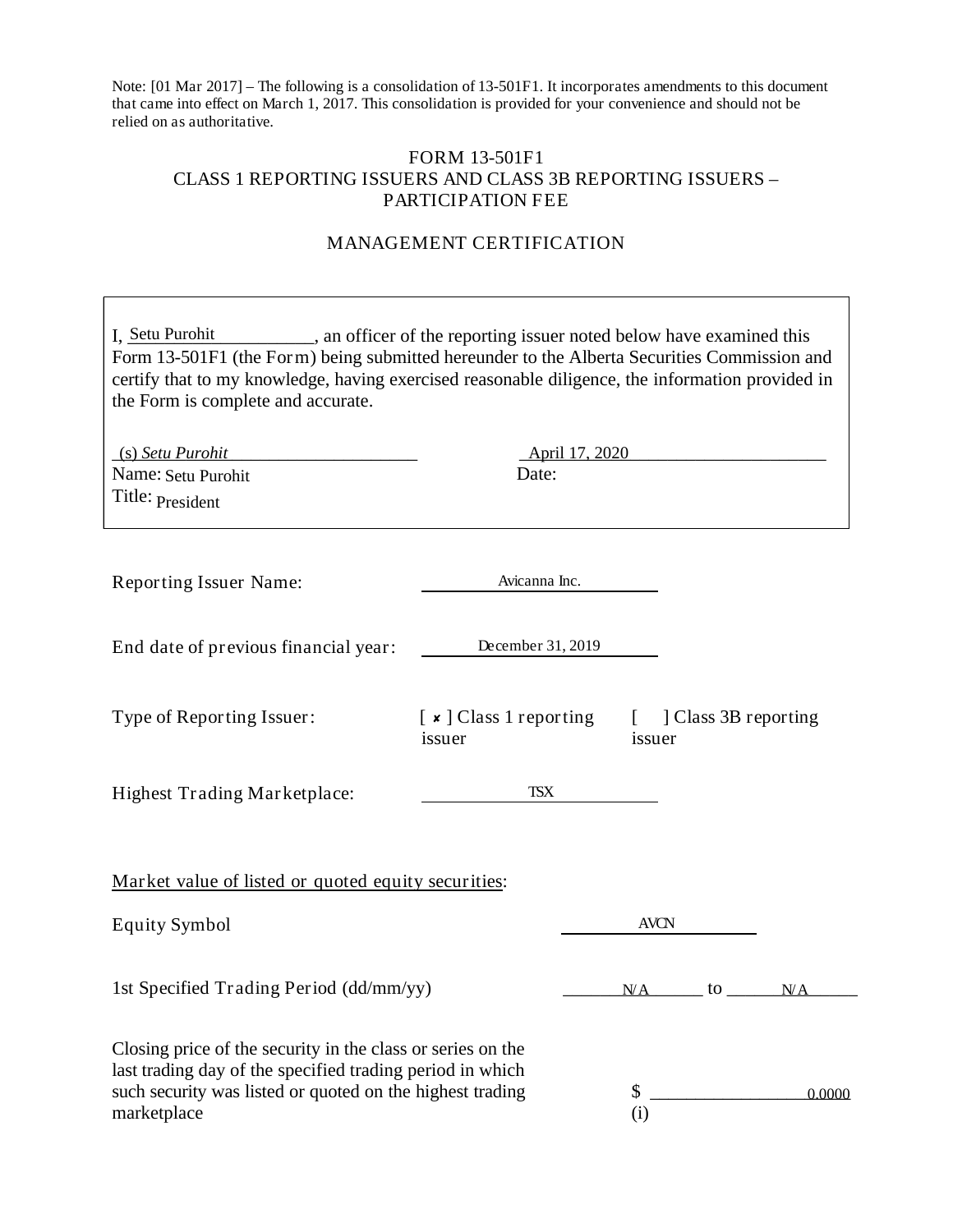Note: [01 Mar 2017] – The following is a consolidation of 13-501F1. It incorporates amendments to this document that came into effect on March 1, 2017. This consolidation is provided for your convenience and should not be relied on as authoritative.

## FORM 13-501F1 CLASS 1 REPORTING ISSUERS AND CLASS 3B REPORTING ISSUERS – PARTICIPATION FEE

## MANAGEMENT CERTIFICATION

| I. Setu Purohit<br>an officer of the reporting issuer noted below have examined this<br>Form 13-501F1 (the Form) being submitted hereunder to the Alberta Securities Commission and<br>certify that to my knowledge, having exercised reasonable diligence, the information provided in<br>the Form is complete and accurate. |                                   |                  |                             |  |        |
|-------------------------------------------------------------------------------------------------------------------------------------------------------------------------------------------------------------------------------------------------------------------------------------------------------------------------------|-----------------------------------|------------------|-----------------------------|--|--------|
| (s) Setu Purohit<br>Name: Setu Purohit<br>Title: President                                                                                                                                                                                                                                                                    | <b>April 17, 2020</b><br>Date:    |                  |                             |  |        |
| <b>Reporting Issuer Name:</b>                                                                                                                                                                                                                                                                                                 | Avicanna Inc.                     |                  |                             |  |        |
| End date of previous financial year:                                                                                                                                                                                                                                                                                          | December 31, 2019                 |                  |                             |  |        |
| Type of Reporting Issuer:                                                                                                                                                                                                                                                                                                     | $[x]$ Class 1 reporting<br>issuer | $\Box$<br>issuer | ] Class 3B reporting        |  |        |
| <b>Highest Trading Marketplace:</b>                                                                                                                                                                                                                                                                                           | TSX                               |                  |                             |  |        |
| Market value of listed or quoted equity securities:                                                                                                                                                                                                                                                                           |                                   |                  |                             |  |        |
| <b>Equity Symbol</b>                                                                                                                                                                                                                                                                                                          |                                   | <b>AVCN</b>      |                             |  |        |
| 1st Specified Trading Period (dd/mm/yy)                                                                                                                                                                                                                                                                                       |                                   | NA               | to $\overline{\phantom{0}}$ |  | N/A    |
| Closing price of the security in the class or series on the<br>last trading day of the specified trading period in which<br>such security was listed or quoted on the highest trading<br>marketplace                                                                                                                          |                                   | (i)              |                             |  | 0.0000 |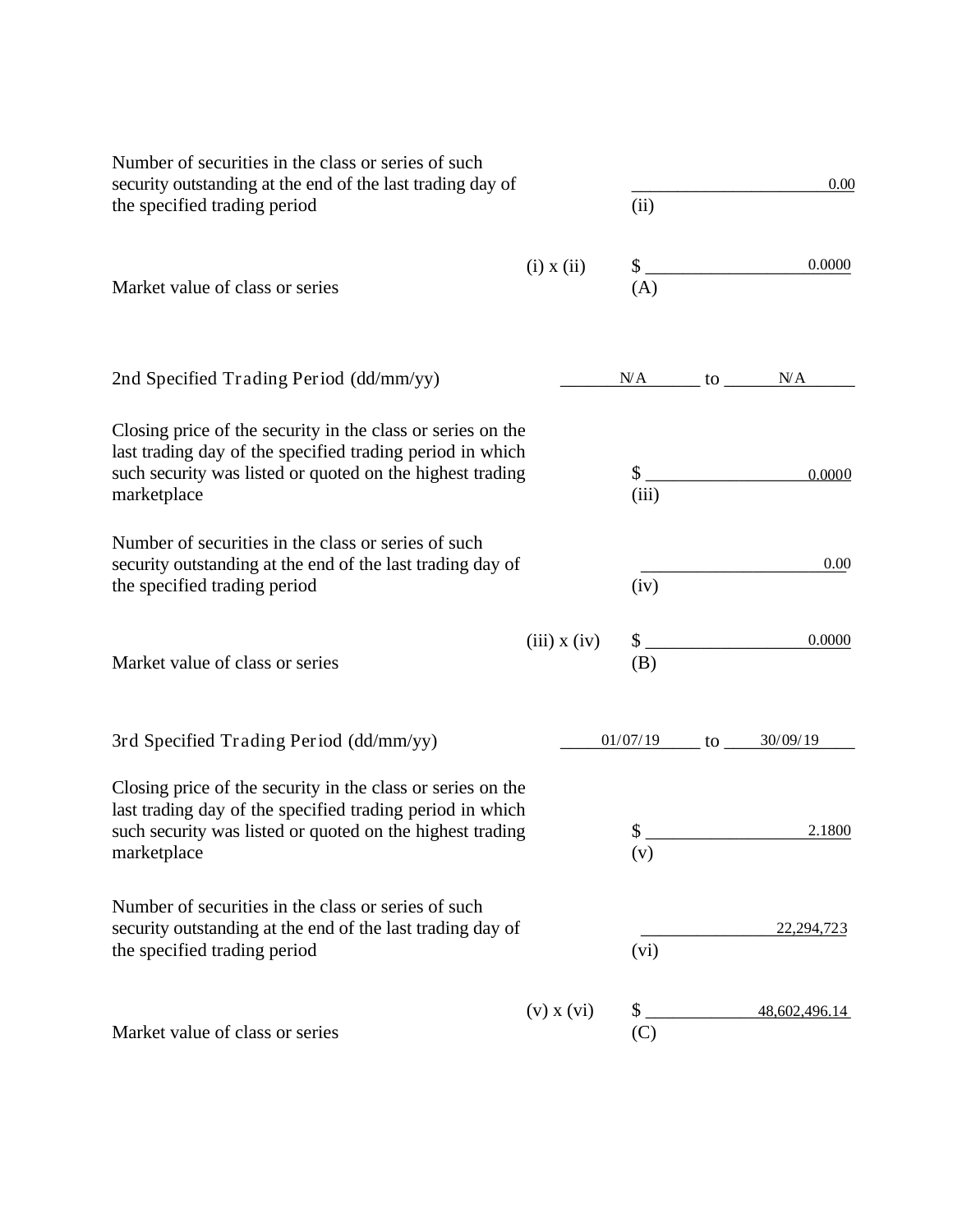| Number of securities in the class or series of such<br>security outstanding at the end of the last trading day of<br>the specified trading period                                                    |                  | (ii)                    |    | 0.00          |
|------------------------------------------------------------------------------------------------------------------------------------------------------------------------------------------------------|------------------|-------------------------|----|---------------|
| Market value of class or series                                                                                                                                                                      | $(i)$ x $(ii)$   | \$<br>(A)               |    | 0.0000        |
| 2nd Specified Trading Period (dd/mm/yy)                                                                                                                                                              |                  | NA                      | to | NA            |
| Closing price of the security in the class or series on the<br>last trading day of the specified trading period in which<br>such security was listed or quoted on the highest trading<br>marketplace |                  | \$<br>(iii)             |    | 0.0000        |
| Number of securities in the class or series of such<br>security outstanding at the end of the last trading day of<br>the specified trading period                                                    |                  | (iv)                    |    | 0.00          |
| Market value of class or series                                                                                                                                                                      | $(iii)$ x $(iv)$ | $\mathbb{S}_{-}$<br>(B) |    | 0.0000        |
| 3rd Specified Trading Period (dd/mm/yy)                                                                                                                                                              |                  | 01/07/19                | to | 30/09/19      |
| Closing price of the security in the class or series on the<br>last trading day of the specified trading period in which<br>such security was listed or quoted on the highest trading<br>marketplace |                  | \$<br>(v)               |    | 2.1800        |
| Number of securities in the class or series of such<br>security outstanding at the end of the last trading day of<br>the specified trading period                                                    |                  | (vi)                    |    | 22,294,723    |
| Market value of class or series                                                                                                                                                                      | $(v)$ x $(vi)$   | $\$\,$<br>(C)           |    | 48,602,496.14 |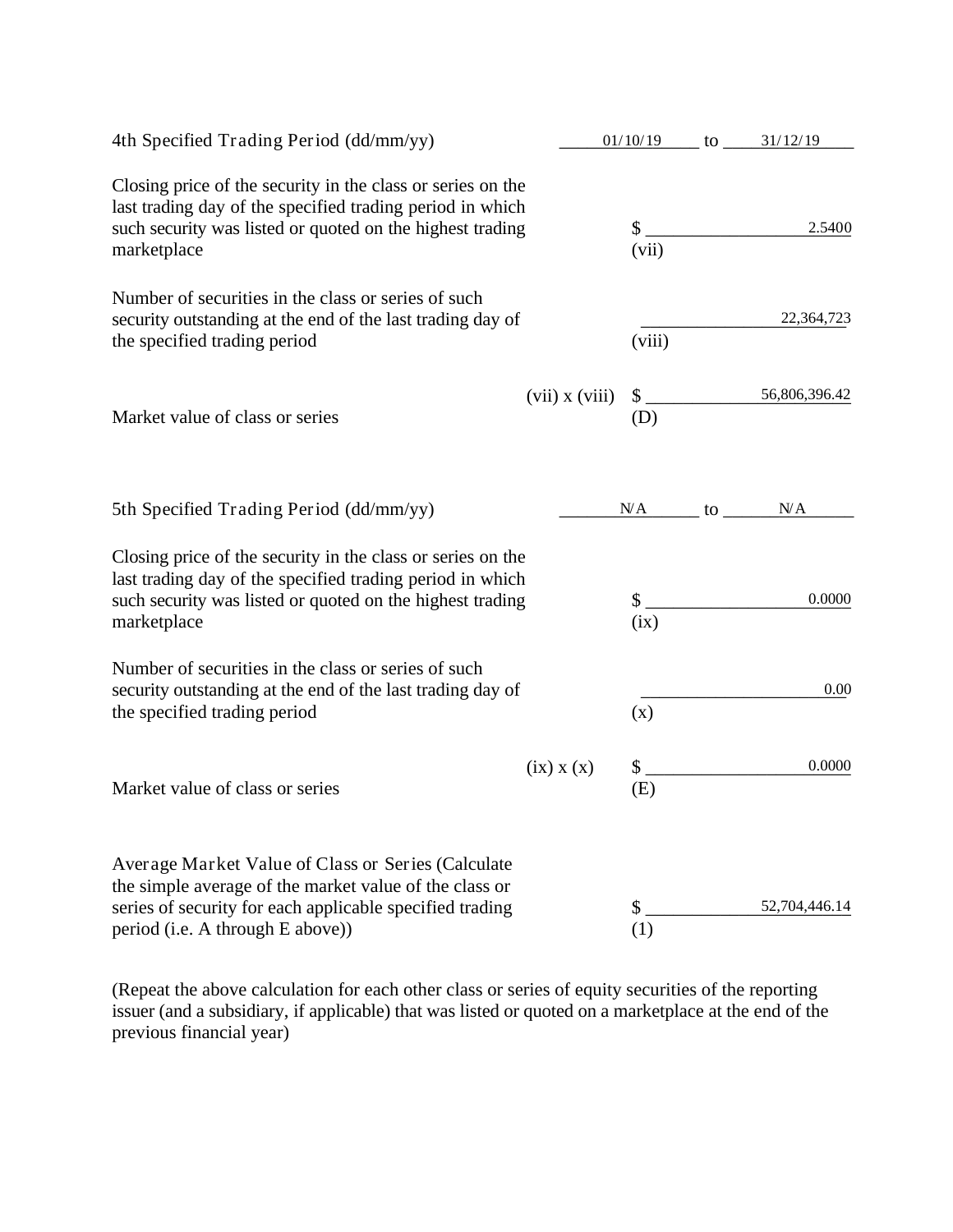| 4th Specified Trading Period (dd/mm/yy)                                                                                                                                                                      |                    |                          |    | $01/10/19$ to $31/12/19$ |
|--------------------------------------------------------------------------------------------------------------------------------------------------------------------------------------------------------------|--------------------|--------------------------|----|--------------------------|
| Closing price of the security in the class or series on the<br>last trading day of the specified trading period in which<br>such security was listed or quoted on the highest trading<br>marketplace         |                    | (vii)                    |    | 2.5400                   |
| Number of securities in the class or series of such<br>security outstanding at the end of the last trading day of<br>the specified trading period                                                            |                    | (viii)                   |    | 22,364,723               |
| Market value of class or series                                                                                                                                                                              | $(vii)$ x $(viii)$ | $\mathcal{S}_{-}$<br>(D) |    | 56,806,396.42            |
| 5th Specified Trading Period (dd/mm/yy)                                                                                                                                                                      |                    | NA                       | to | N/A                      |
| Closing price of the security in the class or series on the<br>last trading day of the specified trading period in which<br>such security was listed or quoted on the highest trading<br>marketplace         |                    | \$<br>(ix)               |    | 0.0000                   |
| Number of securities in the class or series of such<br>security outstanding at the end of the last trading day of<br>the specified trading period                                                            |                    | (x)                      |    | 0.00                     |
| Market value of class or series                                                                                                                                                                              | $(ix)$ x $(x)$     | \$<br>(E)                |    | 0.0000                   |
| Average Market Value of Class or Series (Calculate<br>the simple average of the market value of the class or<br>series of security for each applicable specified trading<br>period (i.e. A through E above)) |                    | (1)                      |    | 52,704,446.14            |

(Repeat the above calculation for each other class or series of equity securities of the reporting issuer (and a subsidiary, if applicable) that was listed or quoted on a marketplace at the end of the previous financial year)